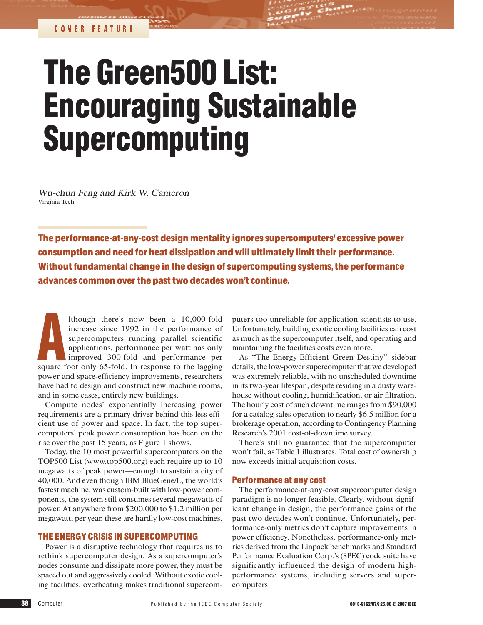# The Green500 List: Encouraging Sustainable Supercomputing

Wu-chun Feng <sup>a</sup>nd Kirk W. Cameron <sup>V</sup>irginia Tech

The performance-at-any-cost design mentality ignores supercomputers'excessive power consumption and need for heat dissipation and will ultimately limit their performance. Without fundamental change in the design of supercomputing systems, the performance advances common overthe pasttwo decades won't continue.

A lthough there's now been a 10,000-fold increase since 1992 in the performance of supercomputers running parallel scientific applications, performance per watt has only improved 300-fold and performance per square foot only 65-fold. In response to the lagging power and space-efficiency improvements, researchers have had to design and construct new machine rooms, and in some cases, entirely new buildings.

Compute nodes' exponentially increasing power requirements are a primary driver behind this less efficient use of power and space. In fact, the top supercomputers' peak power consumption has been on the rise over the past 15 years, as Figure 1 shows.

Today, the 10 most powerful supercomputers on the TOP500 List (www.top500.org) each require up to 10 megawatts of peak power—enough to sustain a city of 40,000. And even though IBM BlueGene/L, the world's fastest machine, was custom-built with low-power components, the system still consumes several megawatts of power. At anywhere from \$200,000 to \$1.2 million per megawatt, per year, these are hardly low-cost machines.

#### THE ENERGY CRISIS IN SUPERCOMPUTING

Power is a disruptive technology that requires us to rethink supercomputer design. As a supercomputer's nodes consume and dissipate more power, they must be spaced out and aggressively cooled. Without exotic cooling facilities, overheating makes traditional supercomputers too unreliable for application scientists to use. Unfortunately, building exotic cooling facilities can cost as much as the supercomputer itself, and operating and maintaining the facilities costs even more.

As "The Energy-Efficient Green Destiny" sidebar details, the low-power supercomputer that we developed was extremely reliable, with no unscheduled downtime in its two-year lifespan, despite residing in a dusty warehouse without cooling, humidification, or air filtration. The hourly cost of such downtime ranges from \$90,000 for a catalog sales operation to nearly \$6.5 million for a brokerage operation, according to Contingency Planning Research's 2001 cost-of-downtime survey.

There's still no guarantee that the supercomputer won't fail, as Table 1 illustrates. Total cost of ownership now exceeds initial acquisition costs.

#### Performance at any cost

The performance-at-any-cost supercomputer design paradigm is no longer feasible. Clearly, without significant change in design, the performance gains of the past two decades won't continue. Unfortunately, performance-only metrics don't capture improvements in power efficiency. Nonetheless, performance-only metrics derived from the Linpack benchmarks and Standard Performance Evaluation Corp.'s (SPEC) code suite have significantly influenced the design of modern highperformance systems, including servers and supercomputers.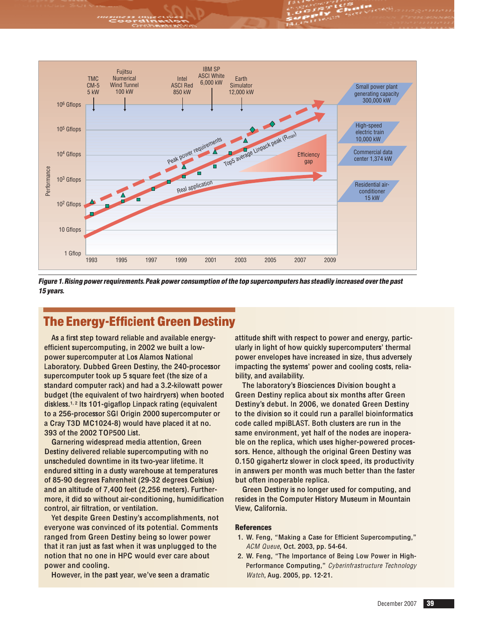

Figur<sup>e</sup> 1.Rising powerrequirements.Peak powe<sup>r</sup> <sup>c</sup>onsumption <sup>o</sup>fth<sup>e</sup> top <sup>s</sup>upercomputer<sup>s</sup> ha<sup>s</sup> <sup>s</sup>teadily increased overth<sup>e</sup> past 15 years.

## The Energy-Efficient Green Destiny

As a first step toward reliable and available energyefficient supercomputing, in 2002 we built a lowpower supercomputer at Los Alamos National Laboratory. Dubbed Green Destiny, the 240-processor supercomputer took up 5 square feet (the size of a standard computer rack) and had a 3.2-kilowatt power budget (the equivalent of two hairdryers) when booted diskless.<sup>1, 2</sup> Its 101-gigaflop Linpack rating (equivalent to a 256-processor SGI Origin 2000 supercomputer or a Cray T3D MC1024-8) would have placed it at no. 393 of the 2002 TOP500 List.

Garnering widespread media attention, Green Destiny delivered reliable supercomputing with no unscheduled downtime in its two-year lifetime. It endured sitting in a dusty warehouse at temperatures of 85-90 degrees Fahrenheit (29-32 degrees Celsius) and an altitude of 7,400 feet (2,256 meters). Furthermore, it did so without air-conditioning, humidification control, air filtration, or ventilation.

Yet despite Green Destiny's accomplishments, not everyone was convinced of its potential. Comments ranged from Green Destiny being so lower power that it ran just as fast when it was unplugged to the notion that no one in HPC would ever care about power and cooling.

However, in the past year, we've seen a dramatic

attitude shift with respect to power and energy, particularly in light of how quickly supercomputers' thermal power envelopes have increased in size, thus adversely impacting the systems' power and cooling costs, reliability, and availability.

The laboratory's Biosciences Division bought a Green Destiny replica about six months after Green Destiny's debut. In 2006, we donated Green Destiny to the division so it could run a parallel bioinformatics code called mpiBLAST. Both clusters are run in the same environment, yet half of the nodes are inoperable on the replica, which uses higher-powered processors. Hence, although the original Green Destiny was 0.150 gigahertz slower in clock speed, its productivity in answers per month was much better than the faster but often inoperable replica.

Green Destiny is no longer used for computing, and resides in the Computer History Museum in Mountain View, California.

#### **References**

- 1. W. Feng, "Making a Case for Efficient Supercomputing," ACM Queu<sup>e</sup>, Oct. 2003, pp. 54-64.
- 2. W. Feng, "The Importance of Being Low Power in High-Performance Computing," Cyb<sup>e</sup>rinfrastructur<sup>e</sup> Technology Watch, Aug. 2005, pp. 12-21.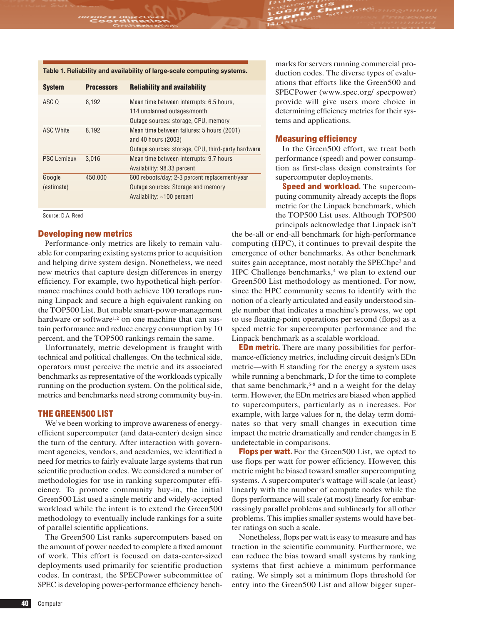#### **Table 1. Reliability and availability of large-scale computing systems.**

| <b>System</b>      | <b>Processors</b> | <b>Reliability and availability</b>                |
|--------------------|-------------------|----------------------------------------------------|
| ASC Q              | 8.192             | Mean time between interrupts: 6.5 hours,           |
|                    |                   | 114 unplanned outages/month                        |
|                    |                   | Outage sources: storage, CPU, memory               |
| <b>ASC White</b>   | 8.192             | Mean time between failures: 5 hours (2001)         |
|                    |                   | and 40 hours (2003)                                |
|                    |                   | Outage sources: storage, CPU, third-party hardware |
| <b>PSC Lemieux</b> | 3.016             | Mean time between interrupts: 9.7 hours            |
|                    |                   | Availability: 98.33 percent                        |
| Google             | 450,000           | 600 reboots/day; 2-3 percent replacement/year      |
| (estimate)         |                   | Outage sources: Storage and memory                 |
|                    |                   | Availability: ~100 percent                         |

Source: D.A. Reed

#### Developing new metrics

Performance-only metrics are likely to remain valuable for comparing existing systems prior to acquisition and helping drive system design. Nonetheless, we need new metrics that capture design differences in energy efficiency. For example, two hypothetical high-performance machines could both achieve 100 teraflops running Linpack and secure a high equivalent ranking on the TOP500 List. But enable smart-power-management hardware or software<sup>1,2</sup> on one machine that can sustain performance and reduce energy consumption by 10 percent, and the TOP500 rankings remain the same.

Unfortunately, metric development is fraught with technical and political challenges. On the technical side, operators must perceive the metric and its associated benchmarks as representative of the workloads typically running on the production system. On the political side, metrics and benchmarks need strong community buy-in.

#### THE GREEN500 LIST

We've been working to improve awareness of energyefficient supercomputer (and data-center) design since the turn of the century. After interaction with government agencies, vendors, and academics, we identified a need for metrics to fairly evaluate large systems that run scientific production codes. We considered a number of methodologies for use in ranking supercomputer efficiency. To promote community buy-in, the initial Green500 List used a single metric and widely-accepted workload while the intent is to extend the Green500 methodology to eventually include rankings for a suite of parallel scientific applications.

The Green500 List ranks supercomputers based on the amount of power needed to complete a fixed amount of work. This effort is focused on data-center-sized deployments used primarily for scientific production codes. In contrast, the SPECPower subcommittee of SPEC is developing power-performance efficiency benchmarks for servers running commercial production codes. The diverse types of evaluations that efforts like the Green500 and SPECPower (www.spec.org/ specpower) provide will give users more choice in determining efficiency metrics for their systems and applications.

#### Measuring efficiency

In the Green500 effort, we treat both performance (speed) and power consumption as first-class design constraints for supercomputer deployments.

**Speed and workload.** The supercomputing community already accepts the flops metric for the Linpack benchmark, which the TOP500 List uses. Although TOP500 principals acknowledge that Linpack isn't

the be-all or end-all benchmark for high-performance computing (HPC), it continues to prevail despite the emergence of other benchmarks. As other benchmark suites gain acceptance, most notably the SPEChpc<sup>3</sup> and HPC Challenge benchmarks,<sup>4</sup> we plan to extend our Green500 List methodology as mentioned. For now, since the HPC community seems to identify with the notion of a clearly articulated and easily understood single number that indicates a machine's prowess, we opt to use floating-point operations per second (flops) as a speed metric for supercomputer performance and the Linpack benchmark as a scalable workload.

**EDn metric.** There are many possibilities for performance-efficiency metrics, including circuit design's EDn metric—with E standing for the energy a system uses while running a benchmark, D for the time to complete that same benchmark,<sup>5-8</sup> and n a weight for the delay term. However, the EDn metrics are biased when applied to supercomputers, particularly as n increases. For example, with large values for n, the delay term dominates so that very small changes in execution time impact the metric dramatically and render changes in E undetectable in comparisons.

**Flops per watt.** For the Green500 List, we opted to use flops per watt for power efficiency. However, this metric might be biased toward smaller supercomputing systems. A supercomputer's wattage will scale (at least) linearly with the number of compute nodes while the flops performance will scale (at most) linearly for embarrassingly parallel problems and sublinearly for all other problems. This implies smaller systems would have better ratings on such a scale.

Nonetheless, flops per watt is easy to measure and has traction in the scientific community. Furthermore, we can reduce the bias toward small systems by ranking systems that first achieve a minimum performance rating. We simply set a minimum flops threshold for entry into the Green500 List and allow bigger super-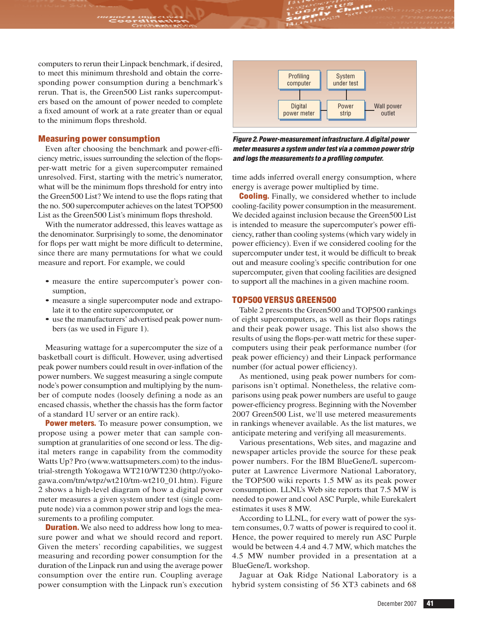computers to rerun their Linpack benchmark, if desired, to meet this minimum threshold and obtain the corresponding power consumption during a benchmark's rerun. That is, the Green500 List ranks supercomputers based on the amount of power needed to complete a fixed amount of work at a rate greater than or equal to the minimum flops threshold.

#### Measuring power consumption

Even after choosing the benchmark and power-efficiency metric, issues surrounding the selection of the flopsper-watt metric for a given supercomputer remained unresolved. First, starting with the metric's numerator, what will be the minimum flops threshold for entry into the Green500 List? We intend to use the flops rating that the no. 500 supercomputer achieves on the latest TOP500 List as the Green500 List's minimum flops threshold.

With the numerator addressed, this leaves wattage as the denominator. Surprisingly to some, the denominator for flops per watt might be more difficult to determine, since there are many permutations for what we could measure and report. For example, we could

- measure the entire supercomputer's power consumption,
- measure a single supercomputer node and extrapolate it to the entire supercomputer, or
- use the manufacturers' advertised peak power numbers (as we used in Figure 1).

Measuring wattage for a supercomputer the size of a basketball court is difficult. However, using advertised peak power numbers could result in over-inflation of the power numbers. We suggest measuring a single compute node's power consumption and multiplying by the number of compute nodes (loosely defining a node as an encased chassis, whether the chassis has the form factor of a standard 1U server or an entire rack).

**Power meters.** To measure power consumption, we propose using a power meter that can sample consumption at granularities of one second or less. The digital meters range in capability from the commodity Watts Up? Pro (www.wattsupmeters.com) to the industrial-strength Yokogawa WT210/WT230 (http://yokogawa.com/tm/wtpz/wt210/tm-wt210\_01.htm). Figure 2 shows a high-level diagram of how a digital power meter measures a given system under test (single compute node) via a common power strip and logs the measurements to a profiling computer.

**Duration.** We also need to address how long to measure power and what we should record and report. Given the meters' recording capabilities, we suggest measuring and recording power consumption for the duration of the Linpack run and using the average power consumption over the entire run. Coupling average power consumption with the Linpack run's execution



Figur<sup>e</sup> 2.Power-measurementinfrastructure.A digital powe<sup>r</sup> meter measures a system under test via a common power strip <sup>a</sup>nd log<sup>s</sup> th<sup>e</sup> <sup>m</sup>easurement<sup>s</sup> t<sup>o</sup> <sup>a</sup> profiling <sup>c</sup>omputer.

time adds inferred overall energy consumption, where energy is average power multiplied by time.

**Cooling.** Finally, we considered whether to include cooling-facility power consumption in the measurement. We decided against inclusion because the Green500 List is intended to measure the supercomputer's power efficiency, rather than cooling systems(which vary widely in power efficiency). Even if we considered cooling for the supercomputer under test, it would be difficult to break out and measure cooling's specific contribution for one supercomputer, given that cooling facilities are designed to support all the machines in a given machine room.

#### TOP500 VERSUS GREEN500

Table 2 presents the Green500 and TOP500 rankings of eight supercomputers, as well as their flops ratings and their peak power usage. This list also shows the results of using the flops-per-watt metric for these supercomputers using their peak performance number (for peak power efficiency) and their Linpack performance number (for actual power efficiency).

As mentioned, using peak power numbers for comparisons isn't optimal. Nonetheless, the relative comparisons using peak power numbers are useful to gauge power-efficiency progress. Beginning with the November 2007 Green500 List, we'll use metered measurements in rankings whenever available. As the list matures, we anticipate metering and verifying all measurements.

Various presentations, Web sites, and magazine and newspaper articles provide the source for these peak power numbers. For the IBM BlueGene/L supercomputer at Lawrence Livermore National Laboratory, the TOP500 wiki reports 1.5 MW as its peak power consumption. LLNL's Web site reports that 7.5 MW is needed to power and cool ASC Purple, while Eurekalert estimates it uses 8 MW.

According to LLNL, for every watt of power the system consumes, 0.7 watts of power is required to cool it. Hence, the power required to merely run ASC Purple would be between 4.4 and 4.7 MW, which matches the 4.5 MW number provided in a presentation at a BlueGene/L workshop.

Jaguar at Oak Ridge National Laboratory is a hybrid system consisting of 56 XT3 cabinets and 68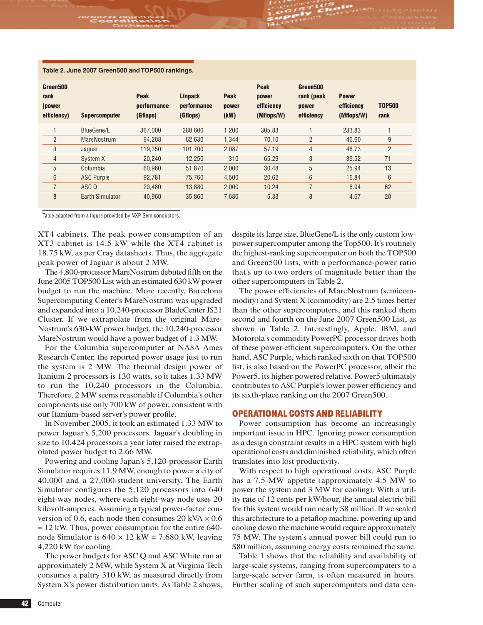| <u>, as is an equipped to the control of the second international control of the control of the control of the con</u> |                        |                                        |                                           |                              |                                                  |                                               |                                          |                       |  |  |  |
|------------------------------------------------------------------------------------------------------------------------|------------------------|----------------------------------------|-------------------------------------------|------------------------------|--------------------------------------------------|-----------------------------------------------|------------------------------------------|-----------------------|--|--|--|
| Green500<br>rank<br>(power<br>efficiency)                                                                              | <b>Supercomputer</b>   | <b>Peak</b><br>performance<br>(Gflops) | <b>Linpack</b><br>performance<br>(Gflops) | <b>Peak</b><br>power<br>(kW) | <b>Peak</b><br>power<br>efficiency<br>(Mflops/W) | Green500<br>rank (peak<br>power<br>efficiency | <b>Power</b><br>efficiency<br>(Mflops/W) | <b>TOP500</b><br>rank |  |  |  |
|                                                                                                                        | BlueGene/L             | 367.000                                | 280.600                                   | 1,200                        | 305.83                                           |                                               | 233.83                                   |                       |  |  |  |
| $\overline{2}$                                                                                                         | <b>MareNostrum</b>     | 94,208                                 | 62,630                                    | 1,344                        | 70.10                                            | $\overline{2}$                                | 46.60                                    | 9                     |  |  |  |
| 3                                                                                                                      | Jaguar                 | 119.350                                | 101.700                                   | 2.087                        | 57.19                                            | 4                                             | 48.73                                    | $\overline{2}$        |  |  |  |
| $\overline{4}$                                                                                                         | System X               | 20.240                                 | 12,250                                    | 310                          | 65.29                                            | 3                                             | 39.52                                    | 71                    |  |  |  |
| 5                                                                                                                      | Columbia               | 60.960                                 | 51,870                                    | 2,000                        | 30.48                                            | 5                                             | 25.94                                    | 13                    |  |  |  |
| 6                                                                                                                      | <b>ASC Purple</b>      | 92.781                                 | 75,760                                    | 4,500                        | 20.62                                            | 6                                             | 16.84                                    | 6                     |  |  |  |
| $\overline{7}$                                                                                                         | ASC Q                  | 20.480                                 | 13.880                                    | 2.000                        | 10.24                                            | 7                                             | 6.94                                     | 62                    |  |  |  |
| 8                                                                                                                      | <b>Earth Simulator</b> | 40.960                                 | 35.860                                    | 7.680                        | 5.33                                             | 8                                             | 4.67                                     | 20                    |  |  |  |

#### **Table 2. June 2007 Green500 and TOP500 rankings.**

Table adapted from a figure provided by NXP Semiconductors.

XT4 cabinets. The peak power consumption of an XT3 cabinet is 14.5 kW while the XT4 cabinet is 18.75 kW, as per Cray datasheets. Thus, the aggregate peak power of Jaguar is about 2 MW.

The 4,800-processor MareNostrum debuted fifth on the June 2005 TOP500 List with an estimated 630 kW power budget to run the machine. More recently, Barcelona Supercomputing Center's MareNostrum was upgraded and expanded into a 10,240-processor BladeCenter JS21 Cluster. If we extrapolate from the original Mare-Nostrum's 630-kW power budget, the 10,240-processor MareNostrum would have a power budget of 1.3 MW.

For the Columbia supercomputer at NASA Ames Research Center, the reported power usage just to run the system is 2 MW. The thermal design power of Itanium-2 processors is 130 watts, so it takes 1.33 MW to run the 10,240 processors in the Columbia. Therefore, 2 MW seems reasonable if Columbia's other components use only 700 kW of power, consistent with our Itanium-based server's power profile.

In November 2005, it took an estimated 1.33 MW to power Jaguar's 5,200 processors. Jaguar's doubling in size to 10,424 processors a year later raised the extrapolated power budget to 2.66 MW.

Powering and cooling Japan's 5,120-processor Earth Simulator requires 11.9 MW, enough to power a city of 40,000 and a 27,000-student university. The Earth Simulator configures the 5,120 processors into 640 eight-way nodes, where each eight-way node uses 20 kilovolt-amperes. Assuming a typical power-factor conversion of 0.6, each node then consumes 20 kVA  $\times$  0.6 = 12 kW. Thus, power consumption for the entire 640 node Simulator is  $640 \times 12$  kW = 7,680 kW, leaving 4,220 kW for cooling.

The power budgets for ASC Q and ASC White run at approximately 2 MW, while System X at <sup>V</sup>irginia Tech consumes a paltry 310 kW, as measured directly from System X's power distribution units. As Table 2 shows,

despite its large size, BlueGene/L is the only custom lowpower supercomputer among the Top500. It's routinely the highest-ranking supercomputer on both the TOP500 and Green500 lists, with a performance-power ratio that's up to two orders of magnitude better than the other supercomputers in Table 2.

The power efficiencies of MareNostrum (semicommodity) and System X (commodity) are 2.5 times better than the other supercomputers, and this ranked them second and fourth on the June 2007 Green500 List, as shown in Table 2. Interestingly, Apple, IBM, and Motorola's commodity PowerPC processor drives both of these power-efficient supercomputers. On the other hand, ASC Purple, which ranked sixth on that TOP500 list, is also based on the PowerPC processor, albeit the Power5, its higher-powered relative. Power5 ultimately contributes to ASC Purple's lower power efficiency and its sixth-place ranking on the 2007 Green500.

#### OPERATIONAL COSTS AND RELIABILITY

Power consumption has become an increasingly important issue in HPC. Ignoring power consumption as a design constraint results in a HPC system with high operational costs and diminished reliability, which often translates into lost productivity.

With respect to high operational costs, ASC Purple has a 7.5-MW appetite (approximately 4.5 MW to power the system and 3 MW for cooling). With a utility rate of 12 cents per kW/hour, the annual electric bill for this system would run nearly \$8 million. If we scaled this architecture to a petaflop machine, powering up and cooling down the machine would require approximately 75 MW. The system's annual power bill could run to \$80 million, assuming energy costs remained the same.

Table 1 shows that the reliability and availability of large-scale systems, ranging from supercomputers to a large-scale server farm, is often measured in hours. Further scaling of such supercomputers and data cen-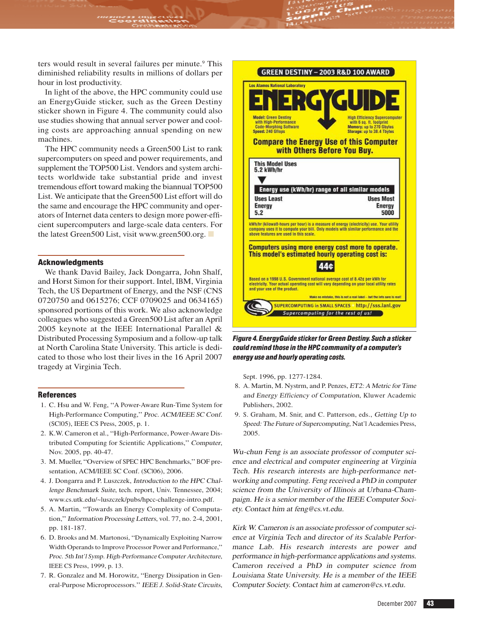ters would result in several failures per minute.<sup>9</sup> This diminished reliability results in millions of dollars per hour in lost productivity.

In light of the above, the HPC community could use an EnergyGuide sticker, such as the Green Destiny sticker shown in Figure 4. The community could also use studies showing that annual server power and cooling costs are approaching annual spending on new machines.

The HPC community needs a Green500 List to rank supercomputers on speed and power requirements, and supplement the TOP500 List. <sup>V</sup>endors and system architects worldwide take substantial pride and invest tremendous effort toward making the biannual TOP500 List. We anticipate that the Green500 List effort will do the same and encourage the HPC community and operators of Internet data centers to design more power-efficient supercomputers and large-scale data centers. For the latest Green500 List, visit www.green500.org. ■

#### **Acknowledgments**

We thank David Bailey, Jack Dongarra, John Shalf, and Horst Simon for their support. Intel, IBM, <sup>V</sup>irginia Tech, the US Department of Energy, and the NSF (CNS 0720750 and 0615276; CCF 0709025 and 0634165) sponsored portions of this work. We also acknowledge colleagues who suggested a Green500 List after an April 2005 keynote at the IEEE International Parallel & Distributed Processing Symposium and a follow-up talk at North Carolina State University. This article is dedicated to those who lost their lives in the 16 April 2007 tragedy at <sup>V</sup>irginia Tech.

#### References

- 1. C. Hsu and W. Feng, "A Power-Aware Run-Time System for High-Performance Computing," <sup>P</sup>roc. <sup>A</sup>CM/IEEE <sup>S</sup><sup>C</sup> <sup>C</sup>onf. (SC|05), IEEE CS Press, 2005, p. 1.
- 2. K.W. Cameron et al., "High-Performance, Power-Aware Distribute<sup>d</sup> Computing for Scientific Applications," <sup>C</sup>omputer, Nov. 2005, pp. 40-47.
- 3. M. Mueller, "Overview of SPEC HPC Benchmarks," BOF presentation, ACM/IEEE SC Conf. (SCl06), 2006.
- 4. J. Dongarra and P. Luszczek, <sup>I</sup>ntroduction <sup>t</sup><sup>o</sup> <sup>t</sup>h<sup>e</sup> <sup>H</sup>P<sup>C</sup> <sup>C</sup>hallenge Benchmar<sup>k</sup> <sup>S</sup>uite, tech. report, Univ. <sup>T</sup>ennessee, <sup>2004</sup>; www.cs.utk.edu/~luszczek/pubs/hpcc-challenge-intro.pdf.
- 5. A. Martin, "Towards an Energy Complexity of Computation," <sup>I</sup>nformation <sup>P</sup>rocessin<sup>g</sup> <sup>L</sup>etters, vol. 77, no. <sup>2</sup>-4, 2001, pp. 181-187.
- 6. D. Brooks and M. Martonosi, "Dynamically Exploiting Narrow Width Operands to Improve Processor Power and Performance," Proc. 5th Int'l Sy<sup>m</sup>p. High-Performance Compute<sup>r</sup> Architecture, IEEE CS Press, 1999, p. 13.
- 7. R. Gonzalez and M. Horowitz, "Energy Dissipation in General-Purpose Microprocessors." <sup>I</sup>EEE <sup>J</sup>. <sup>S</sup>olid-Stat<sup>e</sup> <sup>C</sup>ircuits,



### Figure 4. Energy Guide sticker for Green Destiny. Such a sticker <sup>c</sup>ould <sup>r</sup>emind thos<sup>e</sup> i<sup>n</sup> th<sup>e</sup> HPC <sup>c</sup>ommunity <sup>o</sup>f <sup>a</sup> <sup>c</sup>omputer'<sup>s</sup> <sup>e</sup>nergy <sup>u</sup>s<sup>e</sup> <sup>a</sup>nd hourly operating <sup>c</sup>osts.

Sept. 1996, pp. 1277-1284.

- 8. A. Martin, M. Nystrm, and P. Penzes, ET2: <sup>A</sup> <sup>M</sup>etric <sup>f</sup>o<sup>r</sup> <sup>T</sup>im<sup>e</sup> and Energy <sup>E</sup>fficiency <sup>o</sup><sup>f</sup> <sup>C</sup>omputation, Kluwer Academic Publishers, 2002.
- 9. S. <sup>G</sup>raham, M. Snir, and C. Patterson, eds., <sup>G</sup>ettin<sup>g</sup> <sup>U</sup><sup>p</sup> <sup>t</sup><sup>o</sup> <sup>S</sup>peed: Th<sup>e</sup> <sup>F</sup>utur<sup>e</sup> <sup>o</sup><sup>f</sup> <sup>S</sup>upercomputing, Nat'l Academies Press, 2005.

W<sup>u</sup>-<sup>c</sup>hun Feng is <sup>a</sup><sup>n</sup> <sup>a</sup>ssociat<sup>e</sup> professo<sup>r</sup> <sup>o</sup>f <sup>c</sup>ompute<sup>r</sup> sci<sup>e</sup>nce <sup>a</sup>nd electrical <sup>a</sup>nd <sup>c</sup>ompute<sup>r</sup> <sup>e</sup>ngineering <sup>a</sup><sup>t</sup> Virgini<sup>a</sup> Tech. His <sup>r</sup>esearch interest<sup>s</sup> <sup>a</sup>r<sup>e</sup> high-performance <sup>n</sup>et<sup>w</sup>orking <sup>a</sup>nd <sup>c</sup>omputing. Feng <sup>r</sup>eceived <sup>a</sup> PhD i<sup>n</sup> <sup>c</sup>ompute<sup>r</sup> science fro<sup>m</sup> <sup>t</sup>h<sup>e</sup> University <sup>o</sup>f Illinois <sup>a</sup><sup>t</sup> Urbana-Champaign. H<sup>e</sup> is <sup>a</sup> senio<sup>r</sup> <sup>m</sup>embe<sup>r</sup> <sup>o</sup>f <sup>t</sup>h<sup>e</sup> IEEE Compute<sup>r</sup> Soci<sup>e</sup>ty. Contac<sup>t</sup> hi<sup>m</sup> <sup>a</sup><sup>t</sup> feng@cs.vt.<sup>e</sup>du.

Kirk W. Camero<sup>n</sup> is <sup>a</sup><sup>n</sup> <sup>a</sup>ssociat<sup>e</sup> professo<sup>r</sup> <sup>o</sup>f <sup>c</sup>ompute<sup>r</sup> sci<sup>e</sup>nce <sup>a</sup><sup>t</sup> Virgini<sup>a</sup> Tech <sup>a</sup>nd directo<sup>r</sup> <sup>o</sup>f it<sup>s</sup> Scalable Perfor<sup>m</sup>ance Lab. His <sup>r</sup>esearch interest<sup>s</sup> <sup>a</sup>r<sup>e</sup> powe<sup>r</sup> <sup>a</sup>nd performance i<sup>n</sup> high-performance <sup>a</sup>pplication<sup>s</sup> <sup>a</sup>nd systems. Cameron <sup>r</sup>eceived <sup>a</sup> PhD i<sup>n</sup> <sup>c</sup>ompute<sup>r</sup> science fro<sup>m</sup> Louisian<sup>a</sup> Stat<sup>e</sup> University. H<sup>e</sup> is <sup>a</sup> <sup>m</sup>embe<sup>r</sup> <sup>o</sup>f <sup>t</sup>h<sup>e</sup> IEEE Compute<sup>r</sup> Society. Contac<sup>t</sup> hi<sup>m</sup> <sup>a</sup><sup>t</sup> <sup>c</sup>ameron@cs.vt.<sup>e</sup>du.